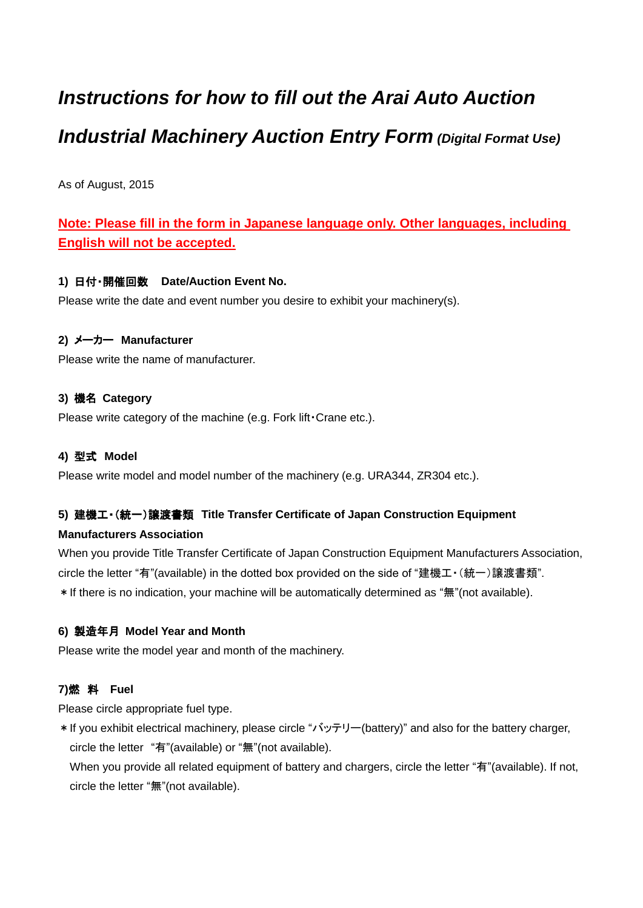# *Instructions for how to fill out the Arai Auto Auction Industrial Machinery Auction Entry Form (Digital Format Use)*

As of August, 2015

## **Note: Please fill in the form in Japanese language only. Other languages, including English will not be accepted.**

## **1)** 日付・開催回数 **Date/Auction Event No.**

Please write the date and event number you desire to exhibit your machinery(s).

## **2)** メーカー **Manufacturer**

Please write the name of manufacturer.

## **3)** 機名 **Category**

Please write category of the machine (e.g. Fork lift・Crane etc.).

## **4)** 型式 **Model**

Please write model and model number of the machinery (e.g. URA344, ZR304 etc.).

## **5)** 建機工・(統一)譲渡書類 **Title Transfer Certificate of Japan Construction Equipment**

## **Manufacturers Association**

When you provide Title Transfer Certificate of Japan Construction Equipment Manufacturers Association, circle the letter "有"(available) in the dotted box provided on the side of "建機工・(統一)譲渡書類". \*If there is no indication, your machine will be automatically determined as "無"(not available).

## **6)** 製造年月 **Model Year and Month**

Please write the model year and month of the machinery.

## **7)**燃 料 **Fuel**

Please circle appropriate fuel type.

\*If you exhibit electrical machinery, please circle "バッテリー(battery)" and also for the battery charger, circle the letter "有"(available) or "無"(not available).

When you provide all related equipment of battery and chargers, circle the letter "有"(available). If not, circle the letter "無"(not available).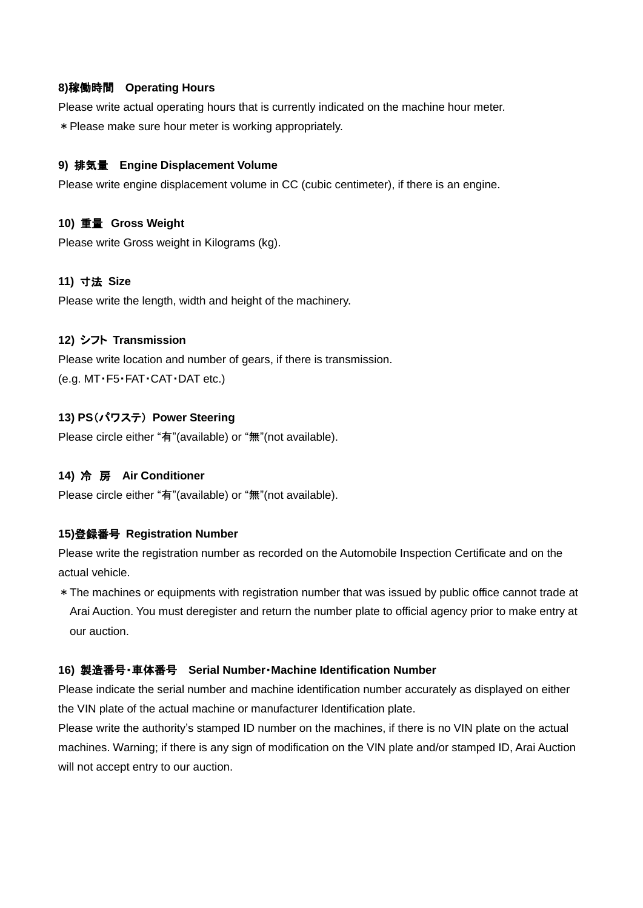#### **8)**稼働時間 **Operating Hours**

Please write actual operating hours that is currently indicated on the machine hour meter. \*Please make sure hour meter is working appropriately.

#### **9)** 排気量 **Engine Displacement Volume**

Please write engine displacement volume in CC (cubic centimeter), if there is an engine.

#### **10)** 重量 **Gross Weight**

Please write Gross weight in Kilograms (kg).

#### **11)** 寸法 **Size**

Please write the length, width and height of the machinery.

#### **12)** シフト **Transmission**

Please write location and number of gears, if there is transmission. (e.g. MT・F5・FAT・CAT・DAT etc.)

#### **13) PS**(パワステ) **Power Steering**

Please circle either "有"(available) or "無"(not available).

#### **14)** 冷 房 **Air Conditioner**

Please circle either "有"(available) or "無"(not available).

#### **15)**登録番号 **Registration Number**

Please write the registration number as recorded on the Automobile Inspection Certificate and on the actual vehicle.

\*The machines or equipments with registration number that was issued by public office cannot trade at Arai Auction. You must deregister and return the number plate to official agency prior to make entry at our auction.

#### **16)** 製造番号・車体番号 **Serial Number**・**Machine Identification Number**

Please indicate the serial number and machine identification number accurately as displayed on either the VIN plate of the actual machine or manufacturer Identification plate.

Please write the authority's stamped ID number on the machines, if there is no VIN plate on the actual machines. Warning; if there is any sign of modification on the VIN plate and/or stamped ID, Arai Auction will not accept entry to our auction.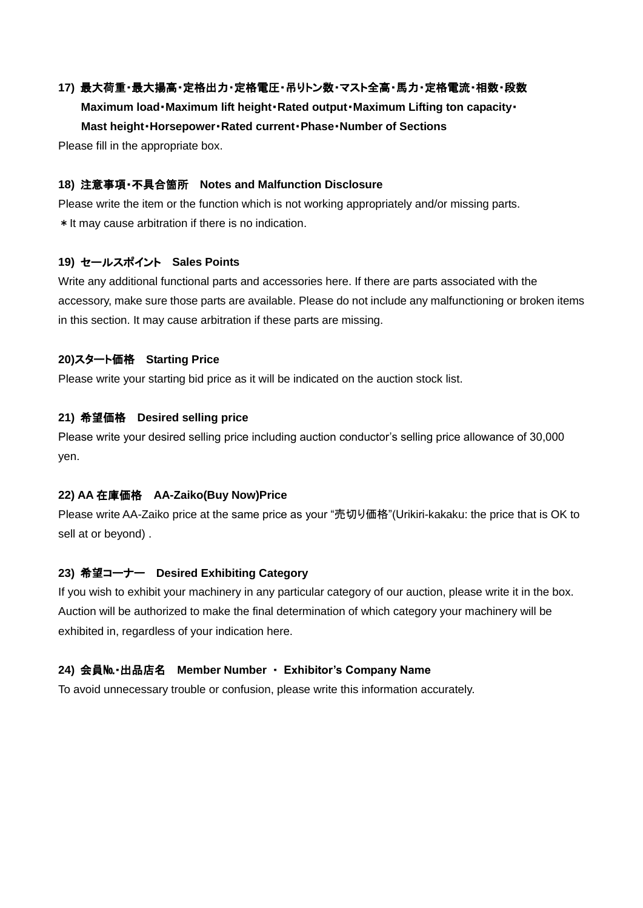## **17)** 最大荷重・最大揚高・定格出力・定格電圧・吊りトン数・マスト全高・馬力・定格電流・相数・段数

 **Maximum load**・**Maximum lift height**・**Rated output**・**Maximum Lifting ton capacity**・ **Mast height**・**Horsepower**・**Rated current**・**Phase**・**Number of Sections**

Please fill in the appropriate box.

#### **18)** 注意事項・不具合箇所 **Notes and Malfunction Disclosure**

Please write the item or the function which is not working appropriately and/or missing parts. \*It may cause arbitration if there is no indication.

#### **19)** セールスポイント **Sales Points**

Write any additional functional parts and accessories here. If there are parts associated with the accessory, make sure those parts are available. Please do not include any malfunctioning or broken items in this section. It may cause arbitration if these parts are missing.

#### **20)**スタート価格 **Starting Price**

Please write your starting bid price as it will be indicated on the auction stock list.

#### **21)** 希望価格 **Desired selling price**

Please write your desired selling price including auction conductor's selling price allowance of 30,000 yen.

#### **22) AA** 在庫価格 **AA-Zaiko(Buy Now)Price**

Please write AA-Zaiko price at the same price as your "売切り価格"(Urikiri-kakaku: the price that is OK to sell at or beyond) .

## **23)** 希望コーナー **Desired Exhibiting Category**

If you wish to exhibit your machinery in any particular category of our auction, please write it in the box. Auction will be authorized to make the final determination of which category your machinery will be exhibited in, regardless of your indication here.

#### **24)** 会員№・出品店名 **Member Number** ・ **Exhibitor's Company Name**

To avoid unnecessary trouble or confusion, please write this information accurately.